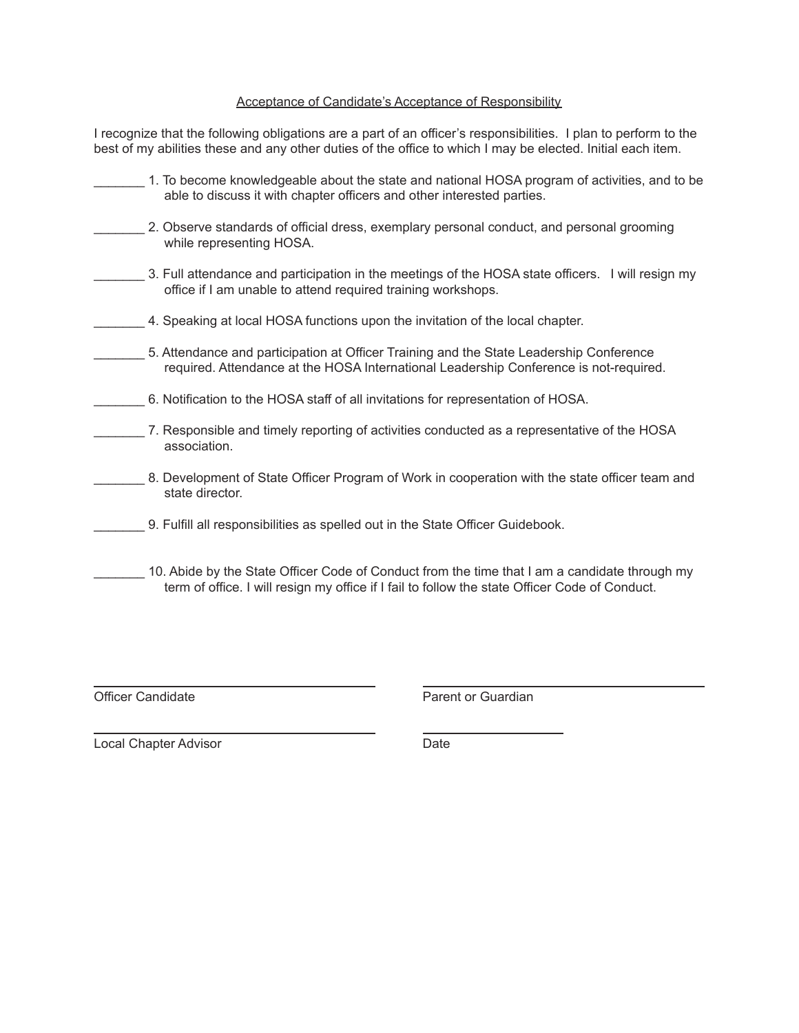## Acceptance of Candidate's Acceptance of Responsibility

I recognize that the following obligations are a part of an officer's responsibilities. I plan to perform to the best of my abilities these and any other duties of the office to which I may be elected. Initial each item.

| 1. To become knowledgeable about the state and national HOSA program of activities, and to be<br>able to discuss it with chapter officers and other interested parties.                         |
|-------------------------------------------------------------------------------------------------------------------------------------------------------------------------------------------------|
| 2. Observe standards of official dress, exemplary personal conduct, and personal grooming<br>while representing HOSA.                                                                           |
| 3. Full attendance and participation in the meetings of the HOSA state officers. I will resign my<br>office if I am unable to attend required training workshops.                               |
| 4. Speaking at local HOSA functions upon the invitation of the local chapter.                                                                                                                   |
| 5. Attendance and participation at Officer Training and the State Leadership Conference<br>required. Attendance at the HOSA International Leadership Conference is not-required.                |
| 6. Notification to the HOSA staff of all invitations for representation of HOSA.                                                                                                                |
| 7. Responsible and timely reporting of activities conducted as a representative of the HOSA<br>association.                                                                                     |
| 8. Development of State Officer Program of Work in cooperation with the state officer team and<br>state director.                                                                               |
| 9. Fulfill all responsibilities as spelled out in the State Officer Guidebook.                                                                                                                  |
| 10. Abide by the State Officer Code of Conduct from the time that I am a candidate through my<br>term of office. I will resign my office if I fail to follow the state Officer Code of Conduct. |

Officer Candidate **Parent of Guardian** 

Local Chapter Advisor **Date**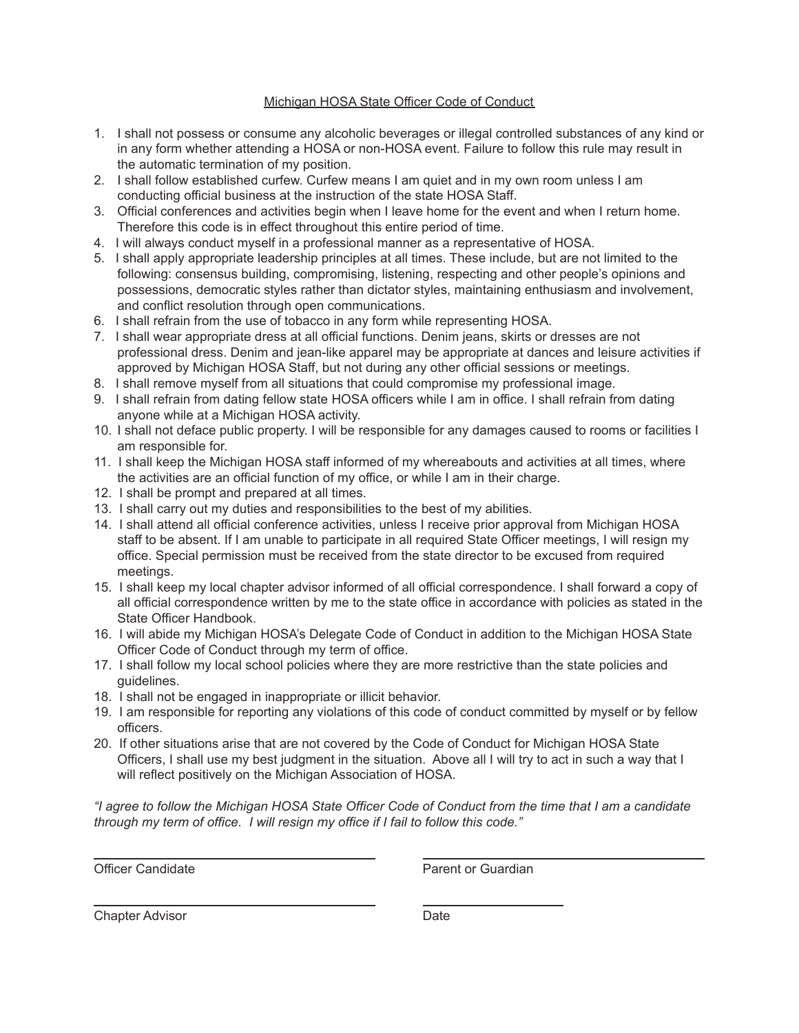## Michigan HOSA State Officer Code of Conduct

- 1. I shall not possess or consume any alcoholic beverages or illegal controlled substances of any kind or in any form whether attending a HOSA or non-HOSA event. Failure to follow this rule may result in the automatic termination of my position.
- 2. I shall follow established curfew. Curfew means I am quiet and in my own room unless I am conducting official business at the instruction of the state HOSA Staff.
- 3. Official conferences and activities begin when I leave home for the event and when I return home. Therefore this code is in effect throughout this entire period of time.
- 4. I will always conduct myself in a professional manner as a representative of HOSA.
- 5. I shall apply appropriate leadership principles at all times. These include, but are not limited to the following: consensus building, compromising, listening, respecting and other people's opinions and possessions, democratic styles rather than dictator styles, maintaining enthusiasm and involvement, and conflict resolution through open communications.
- 6. I shall refrain from the use of tobacco in any form while representing HOSA.
- 7. I shall wear appropriate dress at all official functions. Denim jeans, skirts or dresses are not professional dress. Denim and jean-like apparel may be appropriate at dances and leisure activities if approved by Michigan HOSA Staff, but not during any other official sessions or meetings.
- 8. I shall remove myself from all situations that could compromise my professional image.
- 9. I shall refrain from dating fellow state HOSA officers while I am in office. I shall refrain from dating anyone while at a Michigan HOSA activity.
- 10. I shall not deface public property. I will be responsible for any damages caused to rooms or facilities I am responsible for.
- 11. I shall keep the Michigan HOSA staff informed of my whereabouts and activities at all times, where the activities are an official function of my office, or while I am in their charge.
- 12. I shall be prompt and prepared at all times.
- 13. I shall carry out my duties and responsibilities to the best of my abilities.
- 14. I shall attend all official conference activities, unless I receive prior approval from Michigan HOSA staff to be absent. If I am unable to participate in all required State Officer meetings, I will resign my office. Special permission must be received from the state director to be excused from required meetings.
- 15. I shall keep my local chapter advisor informed of all official correspondence. I shall forward a copy of all official correspondence written by me to the state office in accordance with policies as stated in the State Officer Handbook.
- 16. I will abide my Michigan HOSA's Delegate Code of Conduct in addition to the Michigan HOSA State Officer Code of Conduct through my term of office.
- 17. I shall follow my local school policies where they are more restrictive than the state policies and guidelines.
- 18. I shall not be engaged in inappropriate or illicit behavior.
- 19. I am responsible for reporting any violations of this code of conduct committed by myself or by fellow officers.
- 20. If other situations arise that are not covered by the Code of Conduct for Michigan HOSA State Officers, I shall use my best judgment in the situation. Above all I will try to act in such a way that I will reflect positively on the Michigan Association of HOSA.

"I agree to follow the Michigan HOSA State Officer Code of Conduct from the time that I am a candidate *through my term of office. I will resign my office if I fail to follow this code."*

Officer Candidate **Parent of Guardian** 

Chapter Advisor **Date**